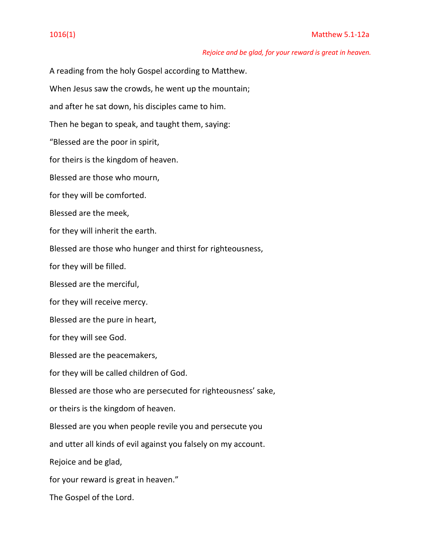### *Rejoice and be glad, for your reward is great in heaven.*

A reading from the holy Gospel according to Matthew.

When Jesus saw the crowds, he went up the mountain;

and after he sat down, his disciples came to him.

Then he began to speak, and taught them, saying:

"Blessed are the poor in spirit,

for theirs is the kingdom of heaven.

Blessed are those who mourn,

for they will be comforted.

Blessed are the meek,

for they will inherit the earth.

Blessed are those who hunger and thirst for righteousness,

for they will be filled.

Blessed are the merciful,

for they will receive mercy.

Blessed are the pure in heart,

for they will see God.

Blessed are the peacemakers,

for they will be called children of God.

Blessed are those who are persecuted for righteousness' sake,

or theirs is the kingdom of heaven.

Blessed are you when people revile you and persecute you

and utter all kinds of evil against you falsely on my account.

Rejoice and be glad,

for your reward is great in heaven."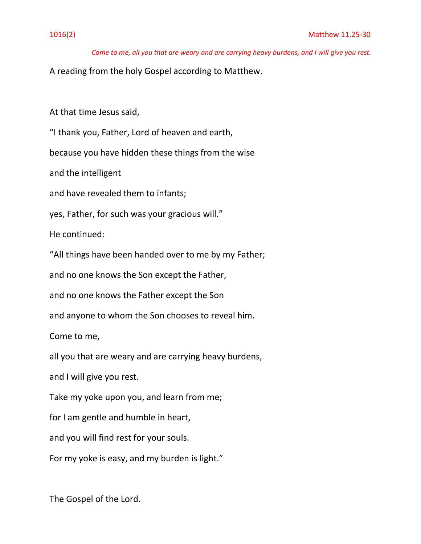*Come to me, all you that are weary and are carrying heavy burdens, and I will give you rest.*

A reading from the holy Gospel according to Matthew.

At that time Jesus said,

"I thank you, Father, Lord of heaven and earth,

because you have hidden these things from the wise

and the intelligent

and have revealed them to infants;

yes, Father, for such was your gracious will."

He continued:

"All things have been handed over to me by my Father;

and no one knows the Son except the Father,

and no one knows the Father except the Son

and anyone to whom the Son chooses to reveal him.

Come to me,

all you that are weary and are carrying heavy burdens,

and I will give you rest.

Take my yoke upon you, and learn from me;

for I am gentle and humble in heart,

and you will find rest for your souls.

For my yoke is easy, and my burden is light."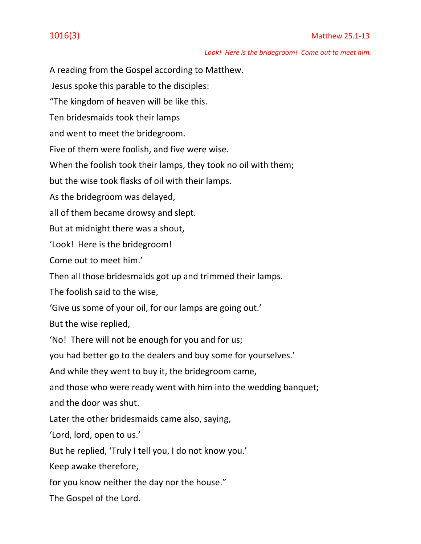## *Look! Here is the bridegroom! Come out to meet him.*

A reading from the Gospel according to Matthew.

Jesus spoke this parable to the disciples:

"The kingdom of heaven will be like this.

Ten bridesmaids took their lamps

and went to meet the bridegroom.

Five of them were foolish, and five were wise.

When the foolish took their lamps, they took no oil with them;

but the wise took flasks of oil with their lamps.

As the bridegroom was delayed,

all of them became drowsy and slept.

But at midnight there was a shout,

'Look! Here is the bridegroom!

Come out to meet him.'

Then all those bridesmaids got up and trimmed their lamps.

The foolish said to the wise,

'Give us some of your oil, for our lamps are going out.'

But the wise replied,

'No! There will not be enough for you and for us;

you had better go to the dealers and buy some for yourselves.'

And while they went to buy it, the bridegroom came,

and those who were ready went with him into the wedding banquet;

and the door was shut.

Later the other bridesmaids came also, saying,

'Lord, lord, open to us.'

But he replied, 'Truly I tell you, I do not know you.'

Keep awake therefore,

for you know neither the day nor the house."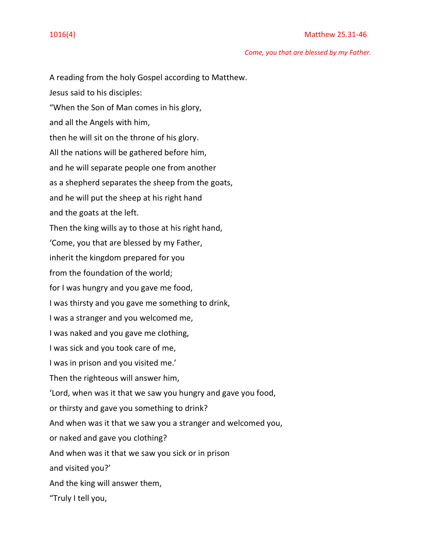*Come, you that are blessed by my Father.*

A reading from the holy Gospel according to Matthew. Jesus said to his disciples: "When the Son of Man comes in his glory, and all the Angels with him, then he will sit on the throne of his glory. All the nations will be gathered before him, and he will separate people one from another as a shepherd separates the sheep from the goats, and he will put the sheep at his right hand and the goats at the left. Then the king wills ay to those at his right hand, 'Come, you that are blessed by my Father, inherit the kingdom prepared for you from the foundation of the world; for I was hungry and you gave me food, I was thirsty and you gave me something to drink, I was a stranger and you welcomed me, I was naked and you gave me clothing, I was sick and you took care of me, I was in prison and you visited me.' Then the righteous will answer him, 'Lord, when was it that we saw you hungry and gave you food, or thirsty and gave you something to drink? And when was it that we saw you a stranger and welcomed you, or naked and gave you clothing? And when was it that we saw you sick or in prison and visited you?' And the king will answer them, "Truly I tell you,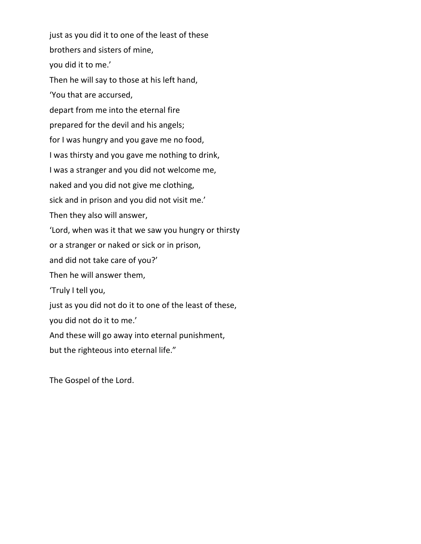just as you did it to one of the least of these brothers and sisters of mine, you did it to me.' Then he will say to those at his left hand, 'You that are accursed, depart from me into the eternal fire prepared for the devil and his angels; for I was hungry and you gave me no food, I was thirsty and you gave me nothing to drink, I was a stranger and you did not welcome me, naked and you did not give me clothing, sick and in prison and you did not visit me.' Then they also will answer, 'Lord, when was it that we saw you hungry or thirsty or a stranger or naked or sick or in prison, and did not take care of you?' Then he will answer them, 'Truly I tell you, just as you did not do it to one of the least of these, you did not do it to me.' And these will go away into eternal punishment, but the righteous into eternal life."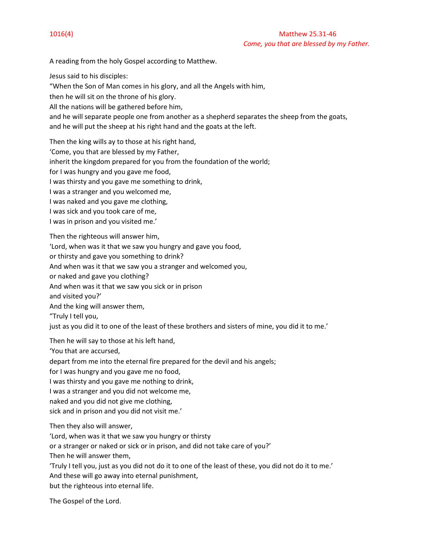A reading from the holy Gospel according to Matthew.

Jesus said to his disciples:

"When the Son of Man comes in his glory, and all the Angels with him,

then he will sit on the throne of his glory.

All the nations will be gathered before him,

and he will separate people one from another as a shepherd separates the sheep from the goats,

and he will put the sheep at his right hand and the goats at the left.

Then the king wills ay to those at his right hand,

'Come, you that are blessed by my Father,

inherit the kingdom prepared for you from the foundation of the world;

for I was hungry and you gave me food,

I was thirsty and you gave me something to drink,

I was a stranger and you welcomed me,

I was naked and you gave me clothing,

I was sick and you took care of me,

I was in prison and you visited me.'

Then the righteous will answer him, 'Lord, when was it that we saw you hungry and gave you food, or thirsty and gave you something to drink? And when was it that we saw you a stranger and welcomed you, or naked and gave you clothing? And when was it that we saw you sick or in prison and visited you?' And the king will answer them, "Truly I tell you, just as you did it to one of the least of these brothers and sisters of mine, you did it to me.'

Then he will say to those at his left hand,

'You that are accursed,

depart from me into the eternal fire prepared for the devil and his angels;

for I was hungry and you gave me no food,

I was thirsty and you gave me nothing to drink,

I was a stranger and you did not welcome me,

naked and you did not give me clothing,

sick and in prison and you did not visit me.'

Then they also will answer,

'Lord, when was it that we saw you hungry or thirsty

or a stranger or naked or sick or in prison, and did not take care of you?'

Then he will answer them,

'Truly I tell you, just as you did not do it to one of the least of these, you did not do it to me.'

And these will go away into eternal punishment,

but the righteous into eternal life.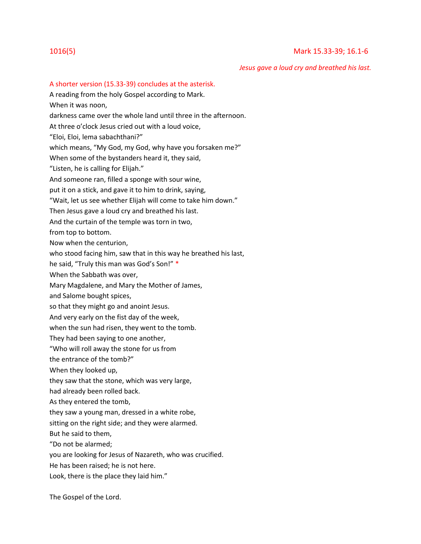## 1016(5) Mark 15.33-39; 16.1-6

*Jesus gave a loud cry and breathed his last.*

A shorter version (15.33-39) concludes at the asterisk.

A reading from the holy Gospel according to Mark.

When it was noon,

darkness came over the whole land until three in the afternoon.

At three o'clock Jesus cried out with a loud voice,

"Eloi, Eloi, lema sabachthani?"

which means, "My God, my God, why have you forsaken me?"

When some of the bystanders heard it, they said,

"Listen, he is calling for Elijah."

And someone ran, filled a sponge with sour wine,

put it on a stick, and gave it to him to drink, saying,

"Wait, let us see whether Elijah will come to take him down."

Then Jesus gave a loud cry and breathed his last.

And the curtain of the temple was torn in two,

from top to bottom.

Now when the centurion,

who stood facing him, saw that in this way he breathed his last,

he said, "Truly this man was God's Son!" \*

When the Sabbath was over,

Mary Magdalene, and Mary the Mother of James,

and Salome bought spices,

so that they might go and anoint Jesus.

And very early on the fist day of the week,

when the sun had risen, they went to the tomb.

They had been saying to one another,

"Who will roll away the stone for us from

the entrance of the tomb?"

When they looked up,

they saw that the stone, which was very large,

had already been rolled back.

As they entered the tomb,

they saw a young man, dressed in a white robe,

sitting on the right side; and they were alarmed.

But he said to them,

"Do not be alarmed;

you are looking for Jesus of Nazareth, who was crucified.

He has been raised; he is not here.

Look, there is the place they laid him."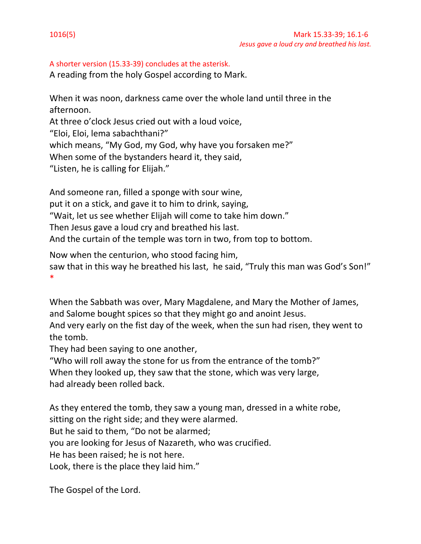# A shorter version (15.33-39) concludes at the asterisk.

A reading from the holy Gospel according to Mark.

When it was noon, darkness came over the whole land until three in the afternoon.

At three o'clock Jesus cried out with a loud voice,

"Eloi, Eloi, lema sabachthani?"

which means, "My God, my God, why have you forsaken me?"

When some of the bystanders heard it, they said,

"Listen, he is calling for Elijah."

And someone ran, filled a sponge with sour wine,

put it on a stick, and gave it to him to drink, saying,

"Wait, let us see whether Elijah will come to take him down."

Then Jesus gave a loud cry and breathed his last.

And the curtain of the temple was torn in two, from top to bottom.

Now when the centurion, who stood facing him,

saw that in this way he breathed his last, he said, "Truly this man was God's Son!" \*

When the Sabbath was over, Mary Magdalene, and Mary the Mother of James, and Salome bought spices so that they might go and anoint Jesus.

And very early on the fist day of the week, when the sun had risen, they went to the tomb.

They had been saying to one another,

"Who will roll away the stone for us from the entrance of the tomb?"

When they looked up, they saw that the stone, which was very large, had already been rolled back.

As they entered the tomb, they saw a young man, dressed in a white robe, sitting on the right side; and they were alarmed. But he said to them, "Do not be alarmed; you are looking for Jesus of Nazareth, who was crucified. He has been raised; he is not here.

Look, there is the place they laid him."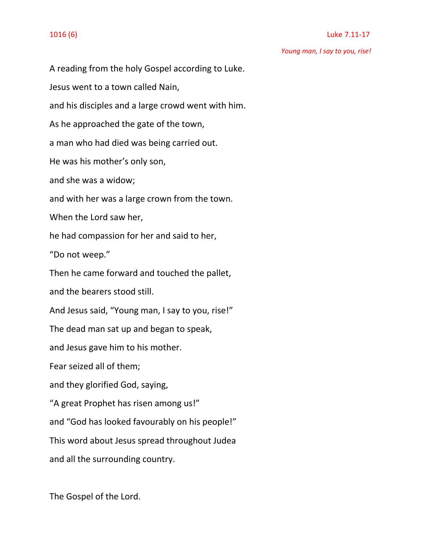*Young man, I say to you, rise!*

A reading from the holy Gospel according to Luke. Jesus went to a town called Nain, and his disciples and a large crowd went with him. As he approached the gate of the town, a man who had died was being carried out. He was his mother's only son, and she was a widow; and with her was a large crown from the town. When the Lord saw her, he had compassion for her and said to her, "Do not weep." Then he came forward and touched the pallet, and the bearers stood still. And Jesus said, "Young man, I say to you, rise!" The dead man sat up and began to speak, and Jesus gave him to his mother. Fear seized all of them; and they glorified God, saying, "A great Prophet has risen among us!" and "God has looked favourably on his people!" This word about Jesus spread throughout Judea and all the surrounding country.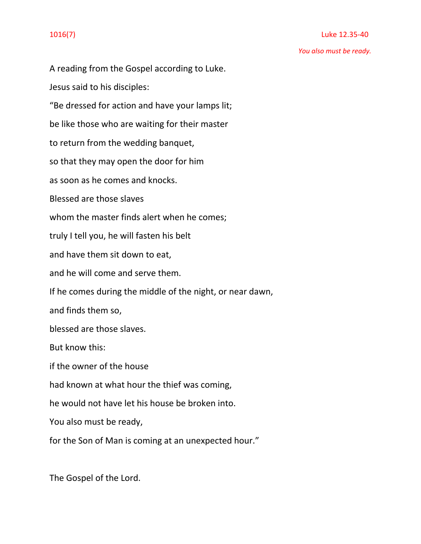*You also must be ready.*

A reading from the Gospel according to Luke. Jesus said to his disciples: "Be dressed for action and have your lamps lit; be like those who are waiting for their master to return from the wedding banquet, so that they may open the door for him as soon as he comes and knocks. Blessed are those slaves whom the master finds alert when he comes; truly I tell you, he will fasten his belt and have them sit down to eat, and he will come and serve them. If he comes during the middle of the night, or near dawn, and finds them so, blessed are those slaves. But know this: if the owner of the house had known at what hour the thief was coming, he would not have let his house be broken into. You also must be ready, for the Son of Man is coming at an unexpected hour."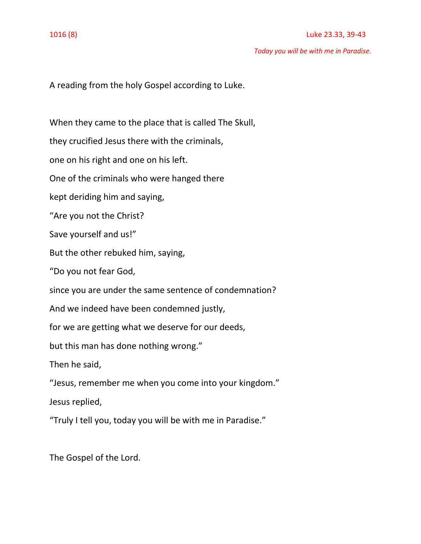*Today you will be with me in Paradise.*

A reading from the holy Gospel according to Luke.

When they came to the place that is called The Skull, they crucified Jesus there with the criminals, one on his right and one on his left. One of the criminals who were hanged there kept deriding him and saying, "Are you not the Christ? Save yourself and us!" But the other rebuked him, saying, "Do you not fear God, since you are under the same sentence of condemnation? And we indeed have been condemned justly, for we are getting what we deserve for our deeds, but this man has done nothing wrong." Then he said, "Jesus, remember me when you come into your kingdom." Jesus replied, "Truly I tell you, today you will be with me in Paradise."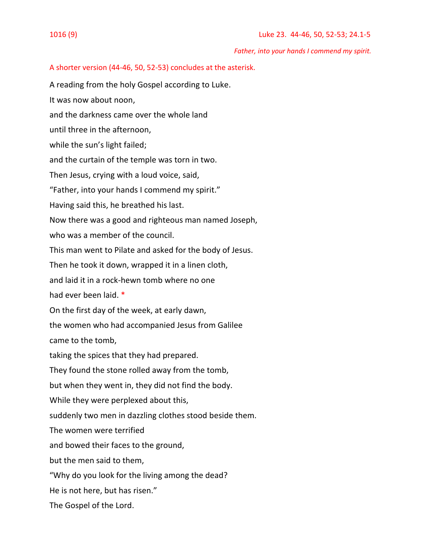### *Father, into your hands I commend my spirit.*

### A shorter version (44-46, 50, 52-53) concludes at the asterisk.

A reading from the holy Gospel according to Luke.

It was now about noon,

and the darkness came over the whole land

until three in the afternoon,

while the sun's light failed;

and the curtain of the temple was torn in two.

Then Jesus, crying with a loud voice, said,

"Father, into your hands I commend my spirit."

Having said this, he breathed his last.

Now there was a good and righteous man named Joseph,

who was a member of the council.

This man went to Pilate and asked for the body of Jesus.

Then he took it down, wrapped it in a linen cloth,

and laid it in a rock-hewn tomb where no one

had ever been laid. \*

On the first day of the week, at early dawn,

the women who had accompanied Jesus from Galilee

came to the tomb,

taking the spices that they had prepared.

They found the stone rolled away from the tomb,

but when they went in, they did not find the body.

While they were perplexed about this,

suddenly two men in dazzling clothes stood beside them.

The women were terrified

and bowed their faces to the ground,

but the men said to them,

"Why do you look for the living among the dead?

He is not here, but has risen."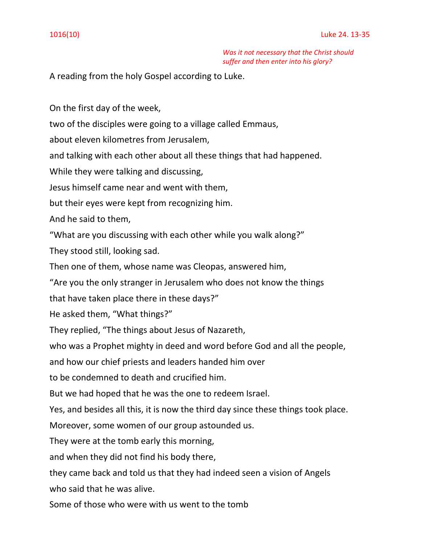## *Was it not necessary that the Christ should suffer and then enter into his glory?*

A reading from the holy Gospel according to Luke.

On the first day of the week,

two of the disciples were going to a village called Emmaus,

about eleven kilometres from Jerusalem,

and talking with each other about all these things that had happened.

While they were talking and discussing,

Jesus himself came near and went with them,

but their eyes were kept from recognizing him.

And he said to them,

"What are you discussing with each other while you walk along?"

They stood still, looking sad.

Then one of them, whose name was Cleopas, answered him,

"Are you the only stranger in Jerusalem who does not know the things

that have taken place there in these days?"

He asked them, "What things?"

They replied, "The things about Jesus of Nazareth,

who was a Prophet mighty in deed and word before God and all the people,

and how our chief priests and leaders handed him over

to be condemned to death and crucified him.

But we had hoped that he was the one to redeem Israel.

Yes, and besides all this, it is now the third day since these things took place.

Moreover, some women of our group astounded us.

They were at the tomb early this morning,

and when they did not find his body there,

they came back and told us that they had indeed seen a vision of Angels

who said that he was alive.

Some of those who were with us went to the tomb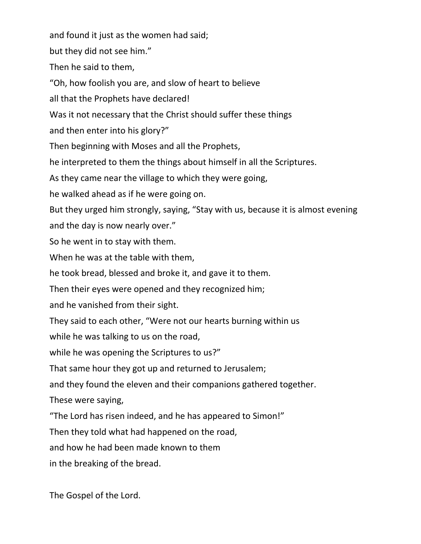and found it just as the women had said; but they did not see him." Then he said to them, "Oh, how foolish you are, and slow of heart to believe all that the Prophets have declared! Was it not necessary that the Christ should suffer these things and then enter into his glory?" Then beginning with Moses and all the Prophets, he interpreted to them the things about himself in all the Scriptures. As they came near the village to which they were going, he walked ahead as if he were going on. But they urged him strongly, saying, "Stay with us, because it is almost evening and the day is now nearly over." So he went in to stay with them. When he was at the table with them, he took bread, blessed and broke it, and gave it to them. Then their eyes were opened and they recognized him; and he vanished from their sight. They said to each other, "Were not our hearts burning within us while he was talking to us on the road, while he was opening the Scriptures to us?" That same hour they got up and returned to Jerusalem; and they found the eleven and their companions gathered together. These were saying, "The Lord has risen indeed, and he has appeared to Simon!" Then they told what had happened on the road, and how he had been made known to them in the breaking of the bread.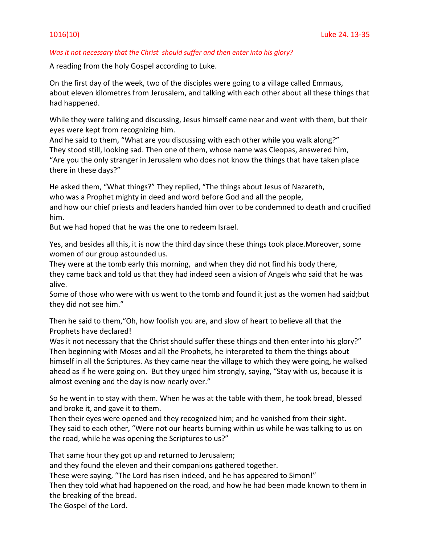## *Was it not necessary that the Christ should suffer and then enter into his glory?*

A reading from the holy Gospel according to Luke.

On the first day of the week, two of the disciples were going to a village called Emmaus, about eleven kilometres from Jerusalem, and talking with each other about all these things that had happened.

While they were talking and discussing, Jesus himself came near and went with them, but their eyes were kept from recognizing him.

And he said to them, "What are you discussing with each other while you walk along?" They stood still, looking sad. Then one of them, whose name was Cleopas, answered him, "Are you the only stranger in Jerusalem who does not know the things that have taken place there in these days?"

He asked them, "What things?" They replied, "The things about Jesus of Nazareth, who was a Prophet mighty in deed and word before God and all the people, and how our chief priests and leaders handed him over to be condemned to death and crucified him.

But we had hoped that he was the one to redeem Israel.

Yes, and besides all this, it is now the third day since these things took place.Moreover, some women of our group astounded us.

They were at the tomb early this morning, and when they did not find his body there, they came back and told us that they had indeed seen a vision of Angels who said that he was alive.

Some of those who were with us went to the tomb and found it just as the women had said;but they did not see him."

Then he said to them,"Oh, how foolish you are, and slow of heart to believe all that the Prophets have declared!

Was it not necessary that the Christ should suffer these things and then enter into his glory?" Then beginning with Moses and all the Prophets, he interpreted to them the things about himself in all the Scriptures. As they came near the village to which they were going, he walked ahead as if he were going on. But they urged him strongly, saying, "Stay with us, because it is almost evening and the day is now nearly over."

So he went in to stay with them. When he was at the table with them, he took bread, blessed and broke it, and gave it to them.

Then their eyes were opened and they recognized him; and he vanished from their sight. They said to each other, "Were not our hearts burning within us while he was talking to us on the road, while he was opening the Scriptures to us?"

That same hour they got up and returned to Jerusalem;

and they found the eleven and their companions gathered together.

These were saying, "The Lord has risen indeed, and he has appeared to Simon!"

Then they told what had happened on the road, and how he had been made known to them in the breaking of the bread.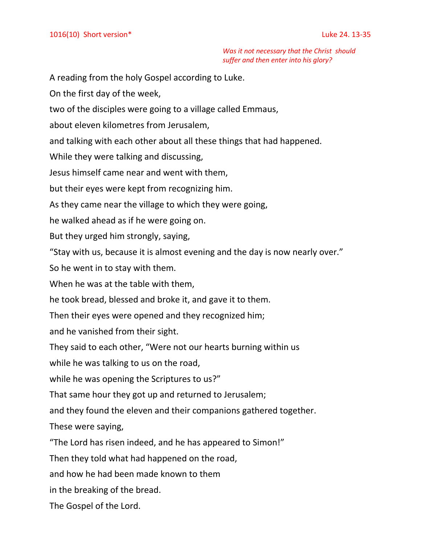### *Was it not necessary that the Christ should suffer and then enter into his glory?*

A reading from the holy Gospel according to Luke.

On the first day of the week,

two of the disciples were going to a village called Emmaus,

about eleven kilometres from Jerusalem,

and talking with each other about all these things that had happened.

While they were talking and discussing,

Jesus himself came near and went with them,

but their eyes were kept from recognizing him.

As they came near the village to which they were going,

he walked ahead as if he were going on.

But they urged him strongly, saying,

"Stay with us, because it is almost evening and the day is now nearly over."

So he went in to stay with them.

When he was at the table with them,

he took bread, blessed and broke it, and gave it to them.

Then their eyes were opened and they recognized him;

and he vanished from their sight.

They said to each other, "Were not our hearts burning within us

while he was talking to us on the road,

while he was opening the Scriptures to us?"

That same hour they got up and returned to Jerusalem;

and they found the eleven and their companions gathered together.

These were saying,

"The Lord has risen indeed, and he has appeared to Simon!"

Then they told what had happened on the road,

and how he had been made known to them

in the breaking of the bread.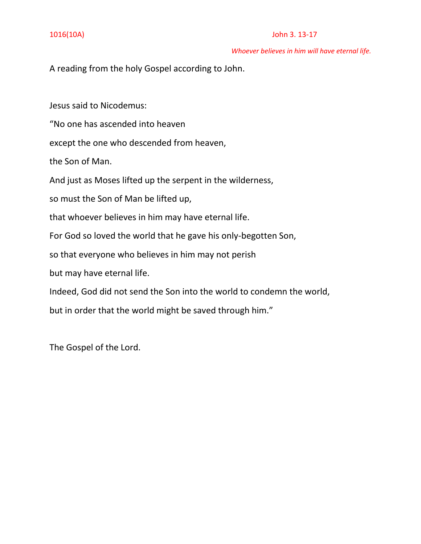## 1016(10A) John 3. 13-17

## *Whoever believes in him will have eternal life.*

A reading from the holy Gospel according to John.

Jesus said to Nicodemus:

"No one has ascended into heaven

except the one who descended from heaven,

the Son of Man.

And just as Moses lifted up the serpent in the wilderness,

so must the Son of Man be lifted up,

that whoever believes in him may have eternal life.

For God so loved the world that he gave his only-begotten Son,

so that everyone who believes in him may not perish

but may have eternal life.

Indeed, God did not send the Son into the world to condemn the world,

but in order that the world might be saved through him."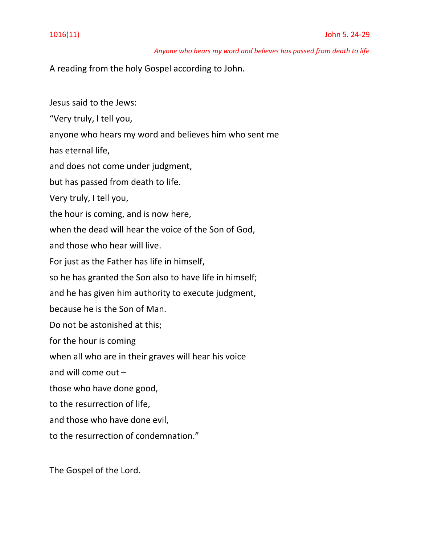## *Anyone who hears my word and believes has passed from death to life.*

A reading from the holy Gospel according to John.

Jesus said to the Jews:

"Very truly, I tell you,

anyone who hears my word and believes him who sent me

has eternal life,

and does not come under judgment,

but has passed from death to life.

Very truly, I tell you,

the hour is coming, and is now here,

when the dead will hear the voice of the Son of God,

and those who hear will live.

For just as the Father has life in himself,

so he has granted the Son also to have life in himself;

and he has given him authority to execute judgment,

because he is the Son of Man.

Do not be astonished at this;

for the hour is coming

when all who are in their graves will hear his voice

and will come out –

those who have done good,

to the resurrection of life,

and those who have done evil,

to the resurrection of condemnation."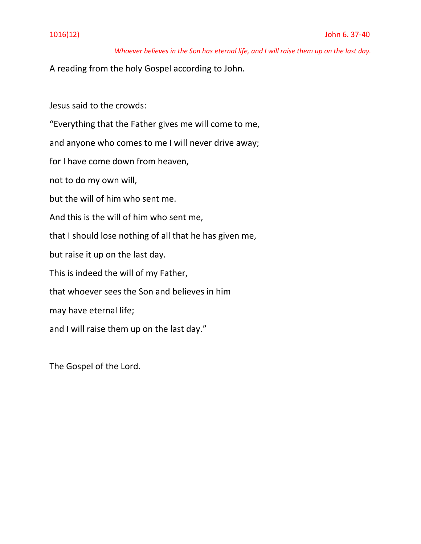## *Whoever believes in the Son has eternal life, and I will raise them up on the last day.*

A reading from the holy Gospel according to John.

Jesus said to the crowds:

"Everything that the Father gives me will come to me,

and anyone who comes to me I will never drive away;

for I have come down from heaven,

not to do my own will,

but the will of him who sent me.

And this is the will of him who sent me,

that I should lose nothing of all that he has given me,

but raise it up on the last day.

This is indeed the will of my Father,

that whoever sees the Son and believes in him

may have eternal life;

and I will raise them up on the last day."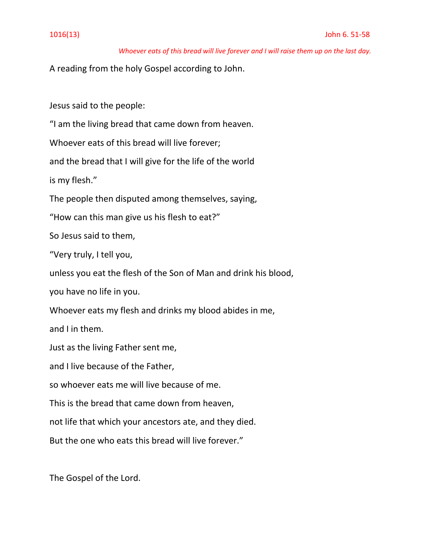## *Whoever eats of this bread will live forever and I will raise them up on the last day.*

A reading from the holy Gospel according to John.

Jesus said to the people:

"I am the living bread that came down from heaven.

Whoever eats of this bread will live forever;

and the bread that I will give for the life of the world

is my flesh."

The people then disputed among themselves, saying,

"How can this man give us his flesh to eat?"

So Jesus said to them,

"Very truly, I tell you,

unless you eat the flesh of the Son of Man and drink his blood,

you have no life in you.

Whoever eats my flesh and drinks my blood abides in me,

and I in them.

Just as the living Father sent me,

and I live because of the Father,

so whoever eats me will live because of me.

This is the bread that came down from heaven,

not life that which your ancestors ate, and they died.

But the one who eats this bread will live forever."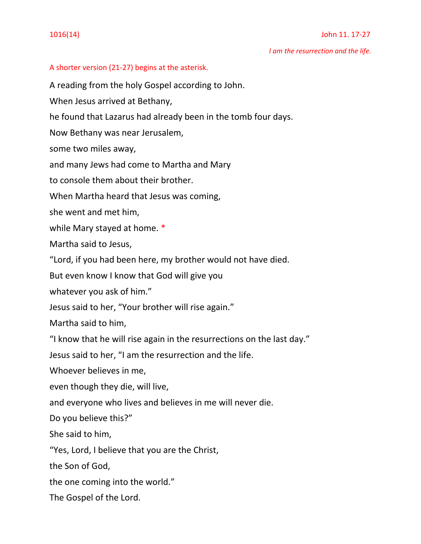*I am the resurrection and the life.*

## A shorter version (21-27) begins at the asterisk.

A reading from the holy Gospel according to John.

When Jesus arrived at Bethany,

he found that Lazarus had already been in the tomb four days.

Now Bethany was near Jerusalem,

some two miles away,

and many Jews had come to Martha and Mary

to console them about their brother.

When Martha heard that Jesus was coming,

she went and met him,

while Mary stayed at home. \*

Martha said to Jesus,

"Lord, if you had been here, my brother would not have died.

But even know I know that God will give you

whatever you ask of him."

Jesus said to her, "Your brother will rise again."

Martha said to him,

"I know that he will rise again in the resurrections on the last day."

Jesus said to her, "I am the resurrection and the life.

Whoever believes in me,

even though they die, will live,

and everyone who lives and believes in me will never die.

Do you believe this?"

She said to him,

"Yes, Lord, I believe that you are the Christ,

the Son of God,

the one coming into the world."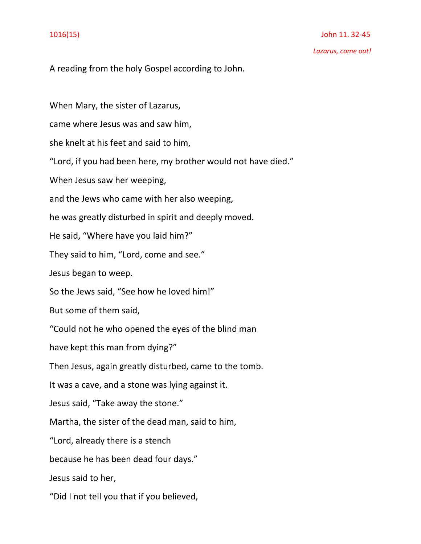### *Lazarus, come out!*

A reading from the holy Gospel according to John.

When Mary, the sister of Lazarus,

came where Jesus was and saw him,

she knelt at his feet and said to him,

"Lord, if you had been here, my brother would not have died."

When Jesus saw her weeping,

and the Jews who came with her also weeping,

he was greatly disturbed in spirit and deeply moved.

He said, "Where have you laid him?"

They said to him, "Lord, come and see."

Jesus began to weep.

So the Jews said, "See how he loved him!"

But some of them said,

"Could not he who opened the eyes of the blind man

have kept this man from dying?"

Then Jesus, again greatly disturbed, came to the tomb.

It was a cave, and a stone was lying against it.

Jesus said, "Take away the stone."

Martha, the sister of the dead man, said to him,

"Lord, already there is a stench

because he has been dead four days."

Jesus said to her,

"Did I not tell you that if you believed,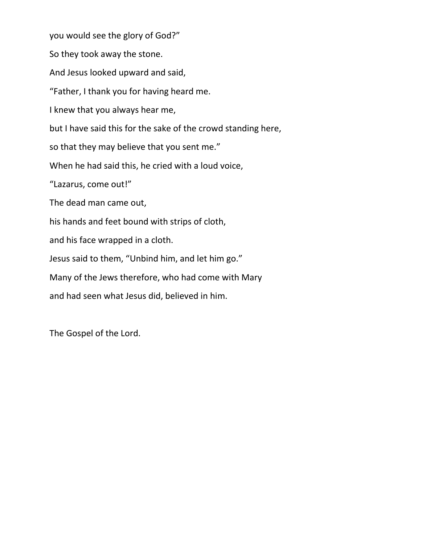you would see the glory of God?" So they took away the stone. And Jesus looked upward and said, "Father, I thank you for having heard me. I knew that you always hear me, but I have said this for the sake of the crowd standing here, so that they may believe that you sent me." When he had said this, he cried with a loud voice, "Lazarus, come out!" The dead man came out, his hands and feet bound with strips of cloth, and his face wrapped in a cloth. Jesus said to them, "Unbind him, and let him go." Many of the Jews therefore, who had come with Mary and had seen what Jesus did, believed in him.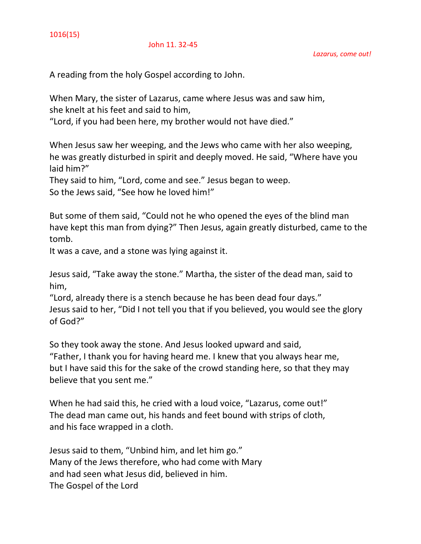John 11. 32-45

*Lazarus, come out!*

A reading from the holy Gospel according to John.

When Mary, the sister of Lazarus, came where Jesus was and saw him, she knelt at his feet and said to him,

"Lord, if you had been here, my brother would not have died."

When Jesus saw her weeping, and the Jews who came with her also weeping, he was greatly disturbed in spirit and deeply moved. He said, "Where have you laid him?"

They said to him, "Lord, come and see." Jesus began to weep. So the Jews said, "See how he loved him!"

But some of them said, "Could not he who opened the eyes of the blind man have kept this man from dying?" Then Jesus, again greatly disturbed, came to the tomb.

It was a cave, and a stone was lying against it.

Jesus said, "Take away the stone." Martha, the sister of the dead man, said to him,

"Lord, already there is a stench because he has been dead four days." Jesus said to her, "Did I not tell you that if you believed, you would see the glory of God?"

So they took away the stone. And Jesus looked upward and said, "Father, I thank you for having heard me. I knew that you always hear me, but I have said this for the sake of the crowd standing here, so that they may believe that you sent me."

When he had said this, he cried with a loud voice, "Lazarus, come out!" The dead man came out, his hands and feet bound with strips of cloth, and his face wrapped in a cloth.

Jesus said to them, "Unbind him, and let him go." Many of the Jews therefore, who had come with Mary and had seen what Jesus did, believed in him. The Gospel of the Lord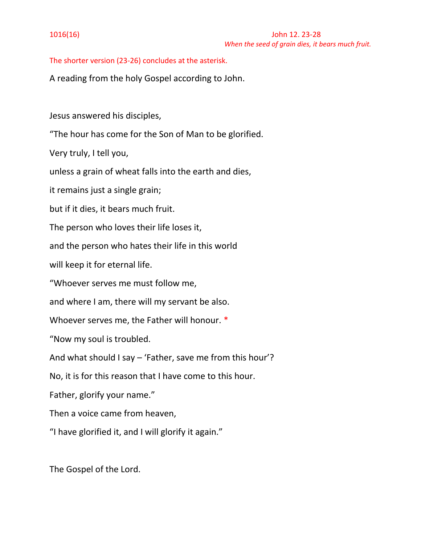## 1016(16) John 12. 23-28 *When the seed of grain dies, it bears much fruit.*

The shorter version (23-26) concludes at the asterisk.

A reading from the holy Gospel according to John.

Jesus answered his disciples,

"The hour has come for the Son of Man to be glorified.

Very truly, I tell you,

unless a grain of wheat falls into the earth and dies,

it remains just a single grain;

but if it dies, it bears much fruit.

The person who loves their life loses it,

and the person who hates their life in this world

will keep it for eternal life.

"Whoever serves me must follow me,

and where I am, there will my servant be also.

Whoever serves me, the Father will honour. \*

"Now my soul is troubled.

And what should I say – 'Father, save me from this hour'?

No, it is for this reason that I have come to this hour.

Father, glorify your name."

Then a voice came from heaven,

"I have glorified it, and I will glorify it again."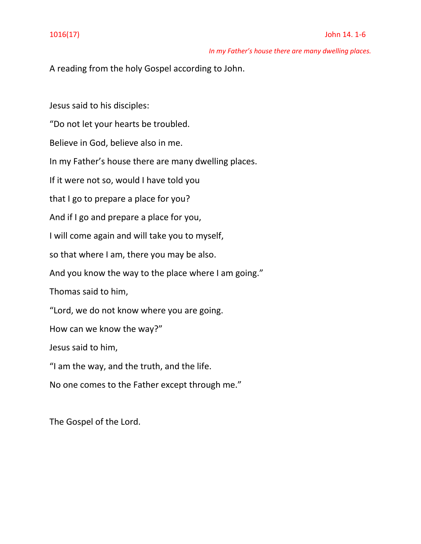## *In my Father's house there are many dwelling places.*

A reading from the holy Gospel according to John.

Jesus said to his disciples:

"Do not let your hearts be troubled.

Believe in God, believe also in me.

In my Father's house there are many dwelling places.

If it were not so, would I have told you

that I go to prepare a place for you?

And if I go and prepare a place for you,

I will come again and will take you to myself,

so that where I am, there you may be also.

And you know the way to the place where I am going."

Thomas said to him,

"Lord, we do not know where you are going.

How can we know the way?"

Jesus said to him,

"I am the way, and the truth, and the life.

No one comes to the Father except through me."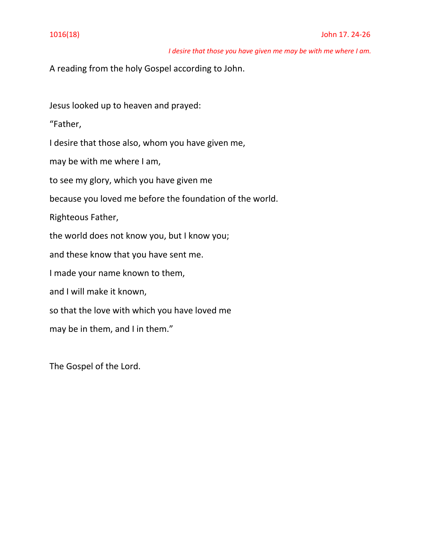### *I desire that those you have given me may be with me where I am.*

A reading from the holy Gospel according to John.

Jesus looked up to heaven and prayed:

"Father,

I desire that those also, whom you have given me,

may be with me where I am,

to see my glory, which you have given me

because you loved me before the foundation of the world.

Righteous Father,

the world does not know you, but I know you;

and these know that you have sent me.

I made your name known to them,

and I will make it known,

so that the love with which you have loved me

may be in them, and I in them."